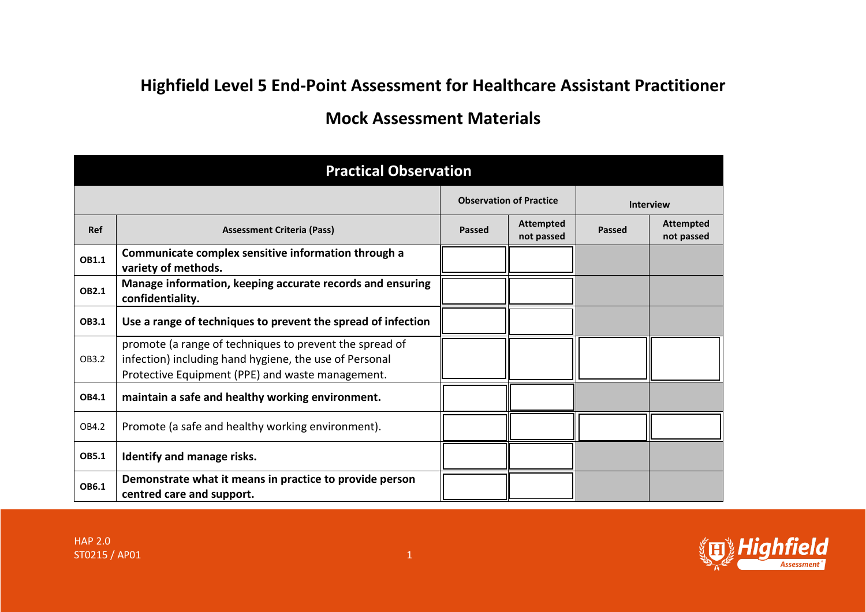## **Highfield Level 5 End-Point Assessment for Healthcare Assistant Practitioner**

## **Mock Assessment Materials**

| <b>Practical Observation</b> |                                                                                                                                                                       |                                |                                |                  |                                |  |  |  |  |
|------------------------------|-----------------------------------------------------------------------------------------------------------------------------------------------------------------------|--------------------------------|--------------------------------|------------------|--------------------------------|--|--|--|--|
|                              |                                                                                                                                                                       | <b>Observation of Practice</b> |                                | <b>Interview</b> |                                |  |  |  |  |
| Ref                          | <b>Assessment Criteria (Pass)</b>                                                                                                                                     | <b>Passed</b>                  | <b>Attempted</b><br>not passed | <b>Passed</b>    | <b>Attempted</b><br>not passed |  |  |  |  |
| OB1.1                        | Communicate complex sensitive information through a<br>variety of methods.                                                                                            |                                |                                |                  |                                |  |  |  |  |
| <b>OB2.1</b>                 | Manage information, keeping accurate records and ensuring<br>confidentiality.                                                                                         |                                |                                |                  |                                |  |  |  |  |
| OB3.1                        | Use a range of techniques to prevent the spread of infection                                                                                                          |                                |                                |                  |                                |  |  |  |  |
| OB3.2                        | promote (a range of techniques to prevent the spread of<br>infection) including hand hygiene, the use of Personal<br>Protective Equipment (PPE) and waste management. |                                |                                |                  |                                |  |  |  |  |
| OB4.1                        | maintain a safe and healthy working environment.                                                                                                                      |                                |                                |                  |                                |  |  |  |  |
| OB4.2                        | Promote (a safe and healthy working environment).                                                                                                                     |                                |                                |                  |                                |  |  |  |  |
| <b>OB5.1</b>                 | Identify and manage risks.                                                                                                                                            |                                |                                |                  |                                |  |  |  |  |
| OB6.1                        | Demonstrate what it means in practice to provide person<br>centred care and support.                                                                                  |                                |                                |                  |                                |  |  |  |  |